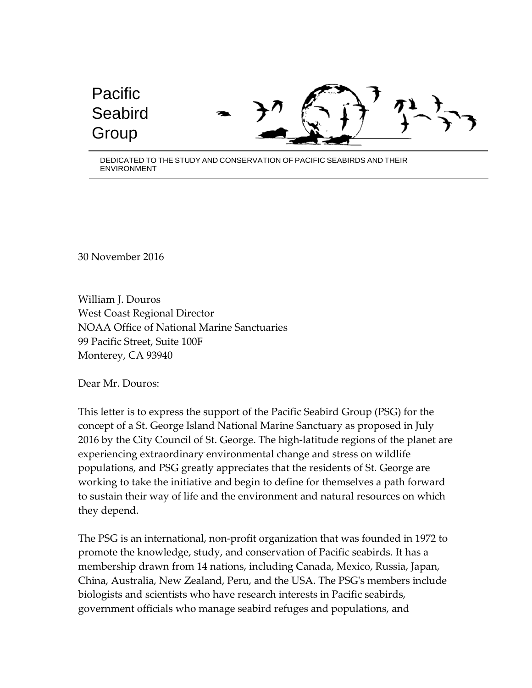## Pacific **Seabird** Group

DEDICATED TO THE STUDY AND CONSERVATION OF PACIFIC SEABIRDS AND THEIR ENVIRONMENT

30 November 2016

William J. Douros West Coast Regional Director NOAA Office of National Marine Sanctuaries 99 Pacific Street, Suite 100F Monterey, CA 93940

Dear Mr. Douros:

This letter is to express the support of the Pacific Seabird Group (PSG) for the concept of a St. George Island National Marine Sanctuary as proposed in July 2016 by the City Council of St. George. The high-latitude regions of the planet are experiencing extraordinary environmental change and stress on wildlife populations, and PSG greatly appreciates that the residents of St. George are working to take the initiative and begin to define for themselves a path forward to sustain their way of life and the environment and natural resources on which they depend.

The PSG is an international, non-profit organization that was founded in 1972 to promote the knowledge, study, and conservation of Pacific seabirds. It has a membership drawn from 14 nations, including Canada, Mexico, Russia, Japan, China, Australia, New Zealand, Peru, and the USA. The PSG's members include biologists and scientists who have research interests in Pacific seabirds, government officials who manage seabird refuges and populations, and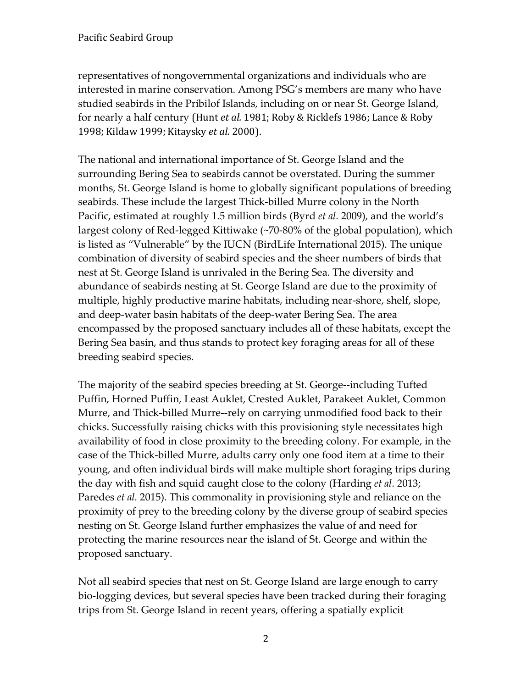representatives of nongovernmental organizations and individuals who are interested in marine conservation. Among PSG's members are many who have studied seabirds in the Pribilof Islands, including on or near St. George Island, for nearly a half century (Hunt *et al.* 1981; Roby & Ricklefs 1986; Lance & Roby 1998; Kildaw 1999; Kitaysky *et al.* 2000).

The national and international importance of St. George Island and the surrounding Bering Sea to seabirds cannot be overstated. During the summer months, St. George Island is home to globally significant populations of breeding seabirds. These include the largest Thick-billed Murre colony in the North Pacific, estimated at roughly 1.5 million birds (Byrd *et al.* 2009), and the world's largest colony of Red-legged Kittiwake (~70-80% of the global population), which is listed as "Vulnerable" by the IUCN (BirdLife International 2015). The unique combination of diversity of seabird species and the sheer numbers of birds that nest at St. George Island is unrivaled in the Bering Sea. The diversity and abundance of seabirds nesting at St. George Island are due to the proximity of multiple, highly productive marine habitats, including near-shore, shelf, slope, and deep-water basin habitats of the deep-water Bering Sea. The area encompassed by the proposed sanctuary includes all of these habitats, except the Bering Sea basin, and thus stands to protect key foraging areas for all of these breeding seabird species.

The majority of the seabird species breeding at St. George--including Tufted Puffin, Horned Puffin, Least Auklet, Crested Auklet, Parakeet Auklet, Common Murre, and Thick-billed Murre--rely on carrying unmodified food back to their chicks. Successfully raising chicks with this provisioning style necessitates high availability of food in close proximity to the breeding colony. For example, in the case of the Thick-billed Murre, adults carry only one food item at a time to their young, and often individual birds will make multiple short foraging trips during the day with fish and squid caught close to the colony (Harding *et al.* 2013; Paredes *et al.* 2015). This commonality in provisioning style and reliance on the proximity of prey to the breeding colony by the diverse group of seabird species nesting on St. George Island further emphasizes the value of and need for protecting the marine resources near the island of St. George and within the proposed sanctuary.

Not all seabird species that nest on St. George Island are large enough to carry bio-logging devices, but several species have been tracked during their foraging trips from St. George Island in recent years, offering a spatially explicit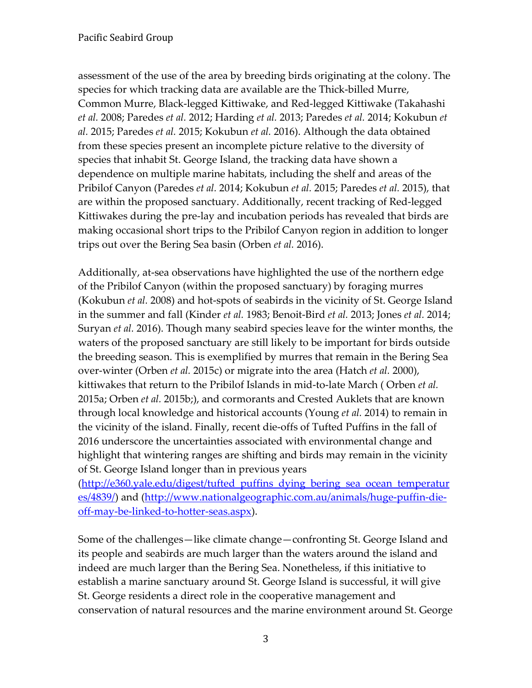assessment of the use of the area by breeding birds originating at the colony. The species for which tracking data are available are the Thick-billed Murre, Common Murre, Black-legged Kittiwake, and Red-legged Kittiwake (Takahashi *et al.* 2008; Paredes *et al.* 2012; Harding *et al.* 2013; Paredes *et al.* 2014; Kokubun *et al.* 2015; Paredes *et al.* 2015; Kokubun *et al.* 2016). Although the data obtained from these species present an incomplete picture relative to the diversity of species that inhabit St. George Island, the tracking data have shown a dependence on multiple marine habitats, including the shelf and areas of the Pribilof Canyon (Paredes *et al.* 2014; Kokubun *et al.* 2015; Paredes *et al.* 2015), that are within the proposed sanctuary. Additionally, recent tracking of Red-legged Kittiwakes during the pre-lay and incubation periods has revealed that birds are making occasional short trips to the Pribilof Canyon region in addition to longer trips out over the Bering Sea basin (Orben *et al.* 2016).

Additionally, at-sea observations have highlighted the use of the northern edge of the Pribilof Canyon (within the proposed sanctuary) by foraging murres (Kokubun *et al.* 2008) and hot-spots of seabirds in the vicinity of St. George Island in the summer and fall (Kinder *et al.* 1983; Benoit-Bird *et al.* 2013; Jones *et al.* 2014; Suryan *et al.* 2016). Though many seabird species leave for the winter months, the waters of the proposed sanctuary are still likely to be important for birds outside the breeding season. This is exemplified by murres that remain in the Bering Sea over-winter (Orben *et al.* 2015c) or migrate into the area (Hatch *et al.* 2000), kittiwakes that return to the Pribilof Islands in mid-to-late March ( Orben *et al.* 2015a; Orben *et al.* 2015b;), and cormorants and Crested Auklets that are known through local knowledge and historical accounts (Young *et al.* 2014) to remain in the vicinity of the island. Finally, recent die-offs of Tufted Puffins in the fall of 2016 underscore the uncertainties associated with environmental change and highlight that wintering ranges are shifting and birds may remain in the vicinity of St. George Island longer than in previous years

[\(http://e360.yale.edu/digest/tufted\\_puffins\\_dying\\_bering\\_sea\\_ocean\\_temperatur](http://e360.yale.edu/digest/tufted_puffins_dying_bering_sea_ocean_temperatures/4839/) [es/4839/\)](http://e360.yale.edu/digest/tufted_puffins_dying_bering_sea_ocean_temperatures/4839/) and [\(http://www.nationalgeographic.com.au/animals/huge-puffin-die](http://www.nationalgeographic.com.au/animals/huge-puffin-die-off-may-be-linked-to-hotter-seas.aspx)[off-may-be-linked-to-hotter-seas.aspx\)](http://www.nationalgeographic.com.au/animals/huge-puffin-die-off-may-be-linked-to-hotter-seas.aspx).

Some of the challenges—like climate change—confronting St. George Island and its people and seabirds are much larger than the waters around the island and indeed are much larger than the Bering Sea. Nonetheless, if this initiative to establish a marine sanctuary around St. George Island is successful, it will give St. George residents a direct role in the cooperative management and conservation of natural resources and the marine environment around St. George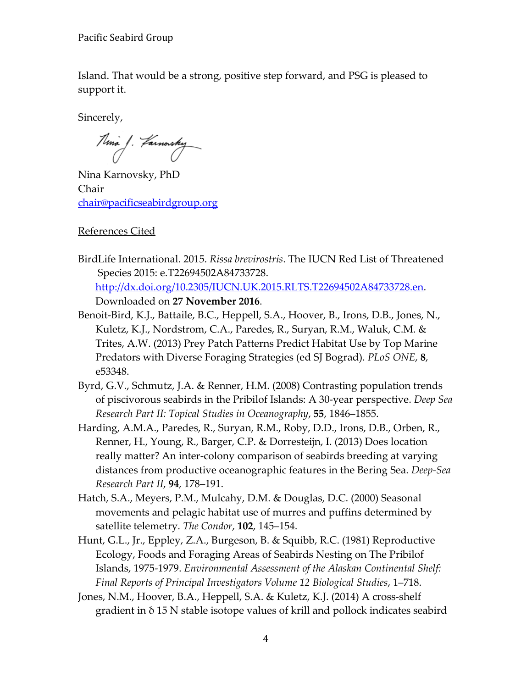Pacific Seabird Group

Island. That would be a strong, positive step forward, and PSG is pleased to support it.

Sincerely,

Ama J. Farnorshy

Nina Karnovsky, PhD Chair [chair@pacificseabirdgroup.org](mailto:chair@pacificseabirdgroup.org)

References Cited

- BirdLife International. 2015. *Rissa brevirostris*. The IUCN Red List of Threatened Species 2015: e.T22694502A84733728. [http://dx.doi.org/10.2305/IUCN.UK.2015.RLTS.T22694502A84733728.en.](http://dx.doi.org/10.2305/IUCN.UK.2015.RLTS.T22694502A84733728.en) Downloaded on **27 November 2016**.
- Benoit-Bird, K.J., Battaile, B.C., Heppell, S.A., Hoover, B., Irons, D.B., Jones, N., Kuletz, K.J., Nordstrom, C.A., Paredes, R., Suryan, R.M., Waluk, C.M. & Trites, A.W. (2013) Prey Patch Patterns Predict Habitat Use by Top Marine Predators with Diverse Foraging Strategies (ed SJ Bograd). *PLoS ONE*, **8**, e53348.
- Byrd, G.V., Schmutz, J.A. & Renner, H.M. (2008) Contrasting population trends of piscivorous seabirds in the Pribilof Islands: A 30-year perspective. *Deep Sea Research Part II: Topical Studies in Oceanography*, **55**, 1846–1855.
- Harding, A.M.A., Paredes, R., Suryan, R.M., Roby, D.D., Irons, D.B., Orben, R., Renner, H., Young, R., Barger, C.P. & Dorresteijn, I. (2013) Does location really matter? An inter-colony comparison of seabirds breeding at varying distances from productive oceanographic features in the Bering Sea. *Deep-Sea Research Part II*, **94**, 178–191.
- Hatch, S.A., Meyers, P.M., Mulcahy, D.M. & Douglas, D.C. (2000) Seasonal movements and pelagic habitat use of murres and puffins determined by satellite telemetry. *The Condor*, **102**, 145–154.
- Hunt, G.L., Jr., Eppley, Z.A., Burgeson, B. & Squibb, R.C. (1981) Reproductive Ecology, Foods and Foraging Areas of Seabirds Nesting on The Pribilof Islands, 1975-1979. *Environmental Assessment of the Alaskan Continental Shelf: Final Reports of Principal Investigators Volume 12 Biological Studies*, 1–718.
- Jones, N.M., Hoover, B.A., Heppell, S.A. & Kuletz, K.J. (2014) A cross-shelf gradient in δ 15 N stable isotope values of krill and pollock indicates seabird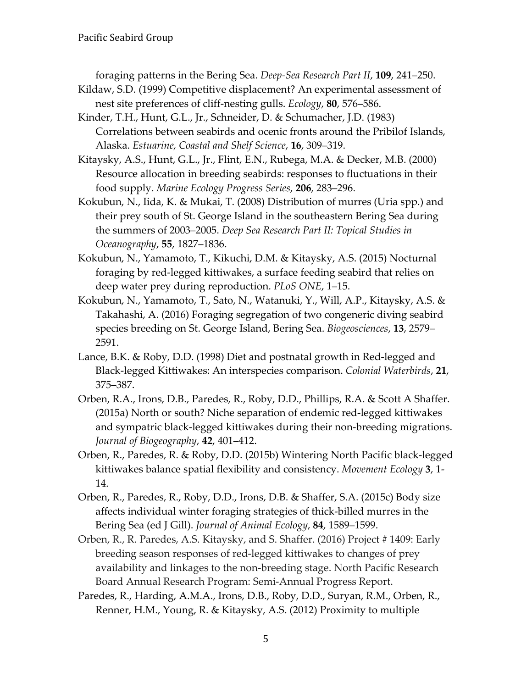foraging patterns in the Bering Sea. *Deep-Sea Research Part II*, **109**, 241–250.

- Kildaw, S.D. (1999) Competitive displacement? An experimental assessment of nest site preferences of cliff-nesting gulls. *Ecology*, **80**, 576–586.
- Kinder, T.H., Hunt, G.L., Jr., Schneider, D. & Schumacher, J.D. (1983) Correlations between seabirds and ocenic fronts around the Pribilof Islands, Alaska. *Estuarine, Coastal and Shelf Science*, **16**, 309–319.
- Kitaysky, A.S., Hunt, G.L., Jr., Flint, E.N., Rubega, M.A. & Decker, M.B. (2000) Resource allocation in breeding seabirds: responses to fluctuations in their food supply. *Marine Ecology Progress Series*, **206**, 283–296.
- Kokubun, N., Iida, K. & Mukai, T. (2008) Distribution of murres (Uria spp.) and their prey south of St. George Island in the southeastern Bering Sea during the summers of 2003–2005. *Deep Sea Research Part II: Topical Studies in Oceanography*, **55**, 1827–1836.
- Kokubun, N., Yamamoto, T., Kikuchi, D.M. & Kitaysky, A.S. (2015) Nocturnal foraging by red-legged kittiwakes, a surface feeding seabird that relies on deep water prey during reproduction. *PLoS ONE*, 1–15.
- Kokubun, N., Yamamoto, T., Sato, N., Watanuki, Y., Will, A.P., Kitaysky, A.S. & Takahashi, A. (2016) Foraging segregation of two congeneric diving seabird species breeding on St. George Island, Bering Sea. *Biogeosciences*, **13**, 2579– 2591.
- Lance, B.K. & Roby, D.D. (1998) Diet and postnatal growth in Red-legged and Black-legged Kittiwakes: An interspecies comparison. *Colonial Waterbirds*, **21**, 375–387.
- Orben, R.A., Irons, D.B., Paredes, R., Roby, D.D., Phillips, R.A. & Scott A Shaffer. (2015a) North or south? Niche separation of endemic red-legged kittiwakes and sympatric black-legged kittiwakes during their non-breeding migrations. *Journal of Biogeography*, **42**, 401–412.
- Orben, R., Paredes, R. & Roby, D.D. (2015b) Wintering North Pacific black-legged kittiwakes balance spatial flexibility and consistency. *Movement Ecology* **3**, 1- 14.
- Orben, R., Paredes, R., Roby, D.D., Irons, D.B. & Shaffer, S.A. (2015c) Body size affects individual winter foraging strategies of thick-billed murres in the Bering Sea (ed J Gill). *Journal of Animal Ecology*, **84**, 1589–1599.
- Orben, R., R. Paredes, A.S. Kitaysky, and S. Shaffer. (2016) Project # 1409: Early breeding season responses of red-legged kittiwakes to changes of prey availability and linkages to the non-breeding stage. North Pacific Research Board Annual Research Program: Semi-Annual Progress Report.
- Paredes, R., Harding, A.M.A., Irons, D.B., Roby, D.D., Suryan, R.M., Orben, R., Renner, H.M., Young, R. & Kitaysky, A.S. (2012) Proximity to multiple